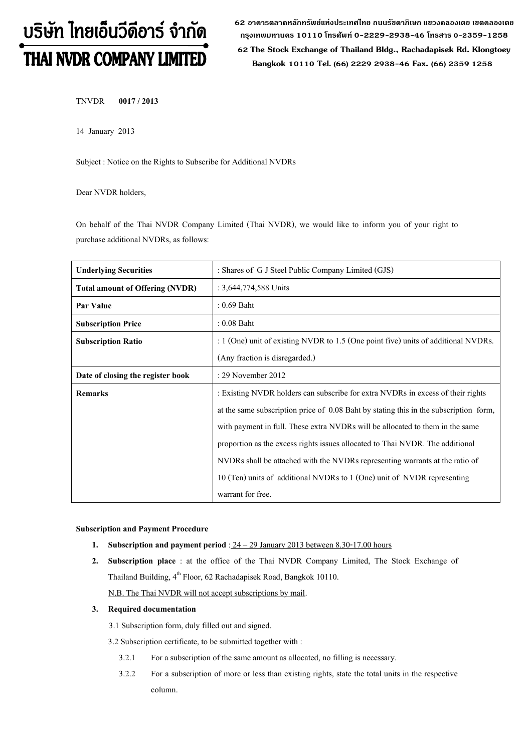# บริษัท ไทยเอ็นวีดีอาร์ จำกัด THAI NVDR COMPANY LIMITED

**62 อาคารตลาดหลักทรัพย์แห่งประเทศไทย ถนนรัชดาภิเษก แขวงคลองเตย เขตคลองเตย กรุงเทพมหานคร 10110 โทรศัพท์0-2229-2938-46 โทรสาร 0-2359-1258**

 **62 The Stock Exchange of Thailand Bldg., Rachadapisek Rd. Klongtoey Bangkok 10110 Tel. (66) 2229 2938-46 Fax. (66) 2359 1258**

TNVDR **0017 / 2013**

14 January 2013

Subject : Notice on the Rights to Subscribe for Additional NVDRs

Dear NVDR holders,

On behalf of the Thai NVDR Company Limited (Thai NVDR), we would like to inform you of your right to purchase additional NVDRs, as follows:

| <b>Underlying Securities</b>           | : Shares of G J Steel Public Company Limited (GJS)                                    |  |  |
|----------------------------------------|---------------------------------------------------------------------------------------|--|--|
| <b>Total amount of Offering (NVDR)</b> | : 3,644,774,588 Units                                                                 |  |  |
| Par Value                              | $: 0.69$ Baht                                                                         |  |  |
| <b>Subscription Price</b>              | $: 0.08$ Baht                                                                         |  |  |
| <b>Subscription Ratio</b>              | : 1 (One) unit of existing NVDR to 1.5 (One point five) units of additional NVDRs.    |  |  |
|                                        | (Any fraction is disregarded.)                                                        |  |  |
| Date of closing the register book      | : 29 November 2012                                                                    |  |  |
| <b>Remarks</b>                         | : Existing NVDR holders can subscribe for extra NVDRs in excess of their rights       |  |  |
|                                        | at the same subscription price of 0.08 Baht by stating this in the subscription form, |  |  |
|                                        | with payment in full. These extra NVDRs will be allocated to them in the same         |  |  |
|                                        | proportion as the excess rights issues allocated to Thai NVDR. The additional         |  |  |
|                                        | NVDRs shall be attached with the NVDRs representing warrants at the ratio of          |  |  |
|                                        | 10 (Ten) units of additional NVDRs to 1 (One) unit of NVDR representing               |  |  |
|                                        | warrant for free.                                                                     |  |  |

**Subscription and Payment Procedure**

- **1. Subscription and payment period**:24 29 January 2013 between 8.30-17.00 hours
- **2. Subscription place** : at the office of the Thai NVDR Company Limited, The Stock Exchange of Thailand Building, 4<sup>th</sup> Floor, 62 Rachadapisek Road, Bangkok 10110.

N.B. The Thai NVDR will not accept subscriptions by mail.

### **3. Required documentation**

3.1 Subscription form, duly filled out and signed.

3.2 Subscription certificate, to be submitted together with :

- 3.2.1 For a subscription of the same amount as allocated, no filling is necessary.
- 3.2.2 For a subscription of more or less than existing rights, state the total units in the respective column.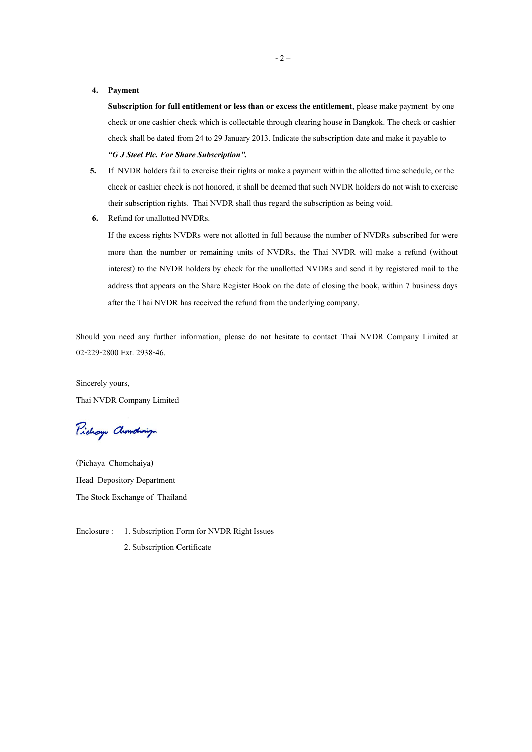#### **4. Payment**

**Subscription for full entitlement or less than or excess the entitlement**, please make payment by one check or one cashier check which is collectable through clearing house in Bangkok. The check or cashier check shall be dated from 24 to 29 January 2013. Indicate the subscription date and make it payable to *"G J Steel Plc. For Share Subscription".*

- **5.** If NVDR holders fail to exercise their rights or make a payment within the allotted time schedule, or the check or cashier check is not honored, it shall be deemed that such NVDR holders do not wish to exercise their subscription rights. Thai NVDR shall thus regard the subscription as being void.
- **6.** Refund for unallotted NVDRs.

If the excess rights NVDRs were not allotted in full because the number of NVDRs subscribed for were more than the number or remaining units of NVDRs, the Thai NVDR will make a refund (without interest) to the NVDR holders by check for the unallotted NVDRs and send it by registered mail to the address that appears on the Share Register Book on the date of closing the book, within 7 business days after the Thai NVDR has received the refund from the underlying company.

Should you need any further information, please do not hesitate to contact Thai NVDR Company Limited at 02-229-2800 Ext. 2938-46.

Sincerely yours, Thai NVDR Company Limited

Pichay Chamalaign

(Pichaya Chomchaiya) Head Depository Department The Stock Exchange of Thailand

Enclosure : 1. Subscription Form for NVDR Right Issues 2. Subscription Certificate